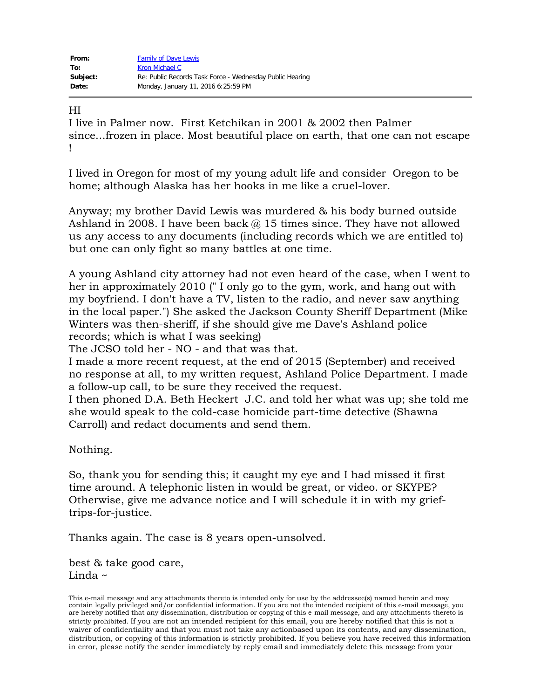| From:    | <b>Family of Dave Lewis</b>                              |
|----------|----------------------------------------------------------|
| To:      | Kron Michael C                                           |
| Subject: | Re: Public Records Task Force - Wednesday Public Hearing |
| Date:    | Monday, January 11, 2016 6:25:59 PM                      |

## HI

I live in Palmer now. First Ketchikan in 2001 & 2002 then Palmer since...frozen in place. Most beautiful place on earth, that one can not escape !

I lived in Oregon for most of my young adult life and consider Oregon to be home; although Alaska has her hooks in me like a cruel-lover.

Anyway; my brother David Lewis was murdered & his body burned outside Ashland in 2008. I have been back  $\omega$  15 times since. They have not allowed us any access to any documents (including records which we are entitled to) but one can only fight so many battles at one time.

A young Ashland city attorney had not even heard of the case, when I went to her in approximately 2010 (" I only go to the gym, work, and hang out with my boyfriend. I don't have a TV, listen to the radio, and never saw anything in the local paper.") She asked the Jackson County Sheriff Department (Mike Winters was then-sheriff, if she should give me Dave's Ashland police records; which is what I was seeking)

The JCSO told her - NO - and that was that.

I made a more recent request, at the end of 2015 (September) and received no response at all, to my written request, Ashland Police Department. I made a follow-up call, to be sure they received the request.

I then phoned D.A. Beth Heckert J.C. and told her what was up; she told me she would speak to the cold-case homicide part-time detective (Shawna Carroll) and redact documents and send them.

Nothing.

So, thank you for sending this; it caught my eye and I had missed it first time around. A telephonic listen in would be great, or video. or SKYPE? Otherwise, give me advance notice and I will schedule it in with my grieftrips-for-justice.

Thanks again. The case is 8 years open-unsolved.

best & take good care, Linda ~

This e-mail message and any attachments thereto is intended only for use by the addressee(s) named herein and may contain legally privileged and/or confidential information. If you are not the intended recipient of this e-mail message, you are hereby notified that any dissemination, distribution or copying of this e-mail message, and any attachments thereto is strictly prohibited. If you are not an intended recipient for this email, you are hereby notified that this is not a waiver of confidentiality and that you must not take any actionbased upon its contents, and any dissemination, distribution, or copying of this information is strictly prohibited. If you believe you have received this information in error, please notify the sender immediately by reply email and immediately delete this message from your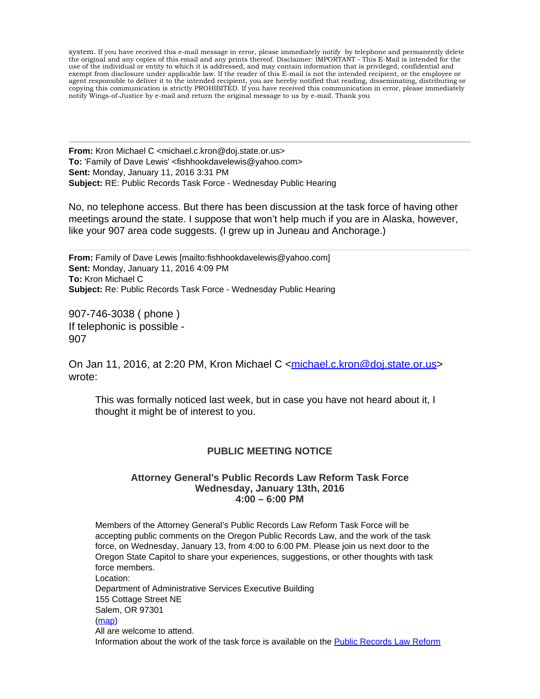system. If you have received this e-mail message in error, please immediately notify by telephone and permanently delete the original and any copies of this email and any prints thereof. Disclaimer: IMPORTANT - This E-Mail is intended for the use of the individual or entity to which it is addressed, and may contain information that is privileged, confidential and exempt from disclosure under applicable law. If the reader of this E-mail is not the intended recipient, or the employee or agent responsible to deliver it to the intended recipient, you are hereby notified that reading, disseminating, distributing or copying this communication is strictly PROHIBITED. If you have received this communication in error, please immediately notify Wings-of-Justice by e-mail and return the original message to us by e-mail. Thank you

**From:** Kron Michael C <michael.c.kron@doj.state.or.us> **To:** 'Family of Dave Lewis' <fishhookdavelewis@yahoo.com> **Sent:** Monday, January 11, 2016 3:31 PM **Subject:** RE: Public Records Task Force - Wednesday Public Hearing

No, no telephone access. But there has been discussion at the task force of having other meetings around the state. I suppose that won't help much if you are in Alaska, however, like your 907 area code suggests. (I grew up in Juneau and Anchorage.)

**From:** Family of Dave Lewis [mailto:fishhookdavelewis@yahoo.com] **Sent:** Monday, January 11, 2016 4:09 PM **To:** Kron Michael C **Subject:** Re: Public Records Task Force - Wednesday Public Hearing

907-746-3038 ( phone ) If telephonic is possible - 907

On Jan 11, 2016, at 2:20 PM, Kron Michael C [<michael.c.kron@doj.state.or.us](mailto:michael.c.kron@doj.state.or.us)> wrote:

This was formally noticed last week, but in case you have not heard about it, I thought it might be of interest to you.

## **PUBLIC MEETING NOTICE**

## **Attorney General's Public Records Law Reform Task Force Wednesday, January 13th, 2016 4:00 – 6:00 PM**

Members of the Attorney General's Public Records Law Reform Task Force will be accepting public comments on the Oregon Public Records Law, and the work of the task force, on Wednesday, January 13, from 4:00 to 6:00 PM. Please join us next door to the Oregon State Capitol to share your experiences, suggestions, or other thoughts with task force members. Location: Department of Administrative Services Executive Building 155 Cottage Street NE Salem, OR 97301 [\(map](https://www.google.com/maps/place/155+Cottage+St+NE%2c+Salem%2c+OR+97301/%4044.9395124%2c-123.0367604%2c17z/data=%213m1%214b1%214m2%213m1%211s0x54bfff12edf9b2c7:0x9a99d15a7dd5f735)) All are welcome to attend. Information about the work of the task force is available on the [Public Records Law Reform](http://www.doj.state.or.us/public_records/Pages/task_force.aspx)